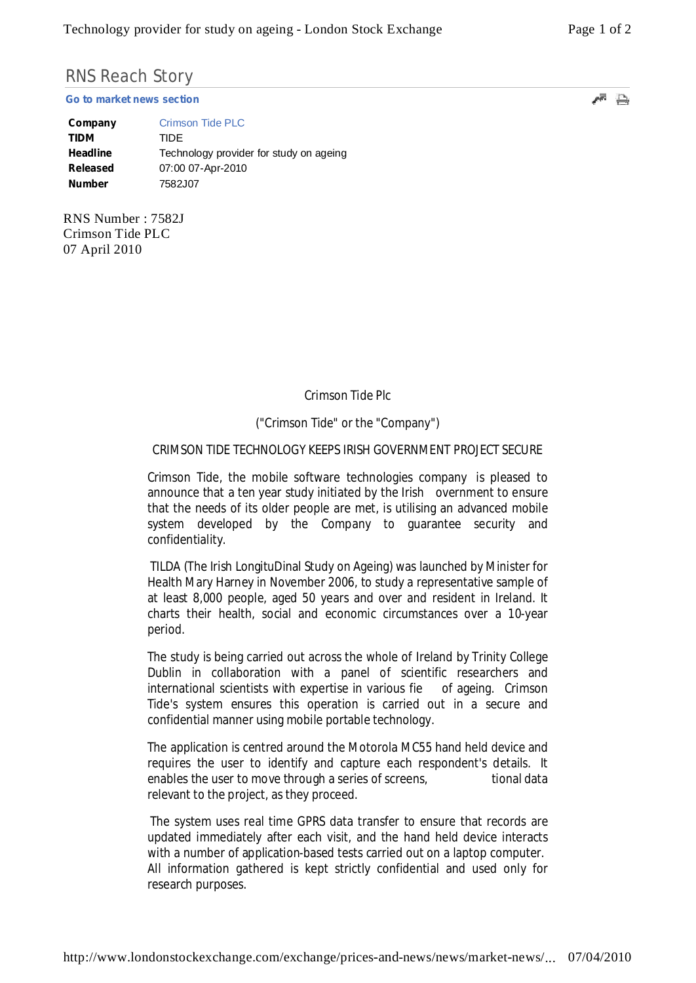# RNS Reach Story

**Go to market news section**

| Company         | Crimson Tide PLC                        |
|-----------------|-----------------------------------------|
| <b>TIDM</b>     | TIDE                                    |
| Headline        | Technology provider for study on ageing |
| <b>Released</b> | 07:00 07-Apr-2010                       |
| <b>Number</b>   | 7582J07                                 |

RNS Number : 7582J Crimson Tide PLC 07 April 2010

Crimson Tide Plc

# ("Crimson Tide" or the "Company")

## CRIMSON TIDE TECHNOLOGY KEEPS IRISH GOVERNMENT PROJECT SECURE

Crimson Tide, the mobile software technologies company is pleased to announce that a ten year study initiated by the Irish overnment to ensure that the needs of its older people are met, is utilising an advanced mobile system developed by the Company to guarantee security and confidentiality.

TILDA (The Irish LongituDinal Study on Ageing) was launched by Minister for Health Mary Harney in November 2006, to study a representative sample of at least 8,000 people, aged 50 years and over and resident in Ireland. It charts their health, social and economic circumstances over a 10-year period.

The study is being carried out across the whole of Ireland by Trinity College Dublin in collaboration with a panel of scientific researchers and international scientists with expertise in various fie of ageing. Crimson Tide's system ensures this operation is carried out in a secure and confidential manner using mobile portable technology.

The application is centred around the Motorola MC55 hand held device and requires the user to identify and capture each respondent's details. It enables the user to move through a series of screens, tional data relevant to the project, as they proceed.

The system uses real time GPRS data transfer to ensure that records are updated immediately after each visit, and the hand held device interacts with a number of application-based tests carried out on a laptop computer. All information gathered is kept strictly confidential and used only for research purposes.